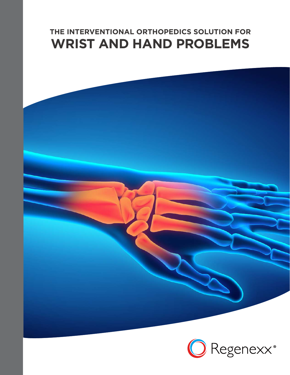# **THE INTERVENTIONAL ORTHOPEDICS SOLUTION FOR WRIST AND HAND PROBLEMS**



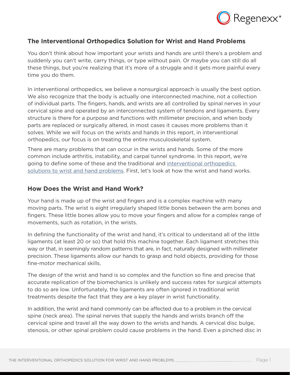

## **The Interventional Orthopedics Solution for Wrist and Hand Problems**

You don't think about how important your wrists and hands are until there's a problem and suddenly you can't write, carry things, or type without pain. Or maybe you can still do all these things, but you're realizing that it's more of a struggle and it gets more painful every time you do them.

In interventional orthopedics, we believe a nonsurgical approach is usually the best option. We also recognize that the body is actually one interconnected machine, not a collection of individual parts. The fingers, hands, and wrists are all controlled by spinal nerves in your cervical spine and operated by an interconnected system of tendons and ligaments. Every structure is there for a purpose and functions with millimeter precision, and when body parts are replaced or surgically altered, in most cases it causes more problems than it solves. While we will focus on the wrists and hands in this report, in interventional orthopedics, our focus is on treating the entire musculoskeletal system.

There are many problems that can occur in the wrists and hands. Some of the more common include arthritis, instability, and carpal tunnel syndrome. In this report, we're going to define some of these and the traditional and [interventional orthopedics](https://www.regenexx.com/treating-hand-arthritis-without-surgery-regenexx-way/)  [solutions to wrist and hand problems.](https://www.regenexx.com/treating-hand-arthritis-without-surgery-regenexx-way/) First, let's look at how the wrist and hand works.

#### **How Does the Wrist and Hand Work?**

Your hand is made up of the wrist and fingers and is a complex machine with many moving parts. The wrist is eight irregularly shaped little bones between the arm bones and fingers. These little bones allow you to move your fingers and allow for a complex range of movements, such as rotation, in the wrists.

In defining the functionality of the wrist and hand, it's critical to understand all of the little ligaments (at least 20 or so) that hold this machine together. Each ligament stretches this way or that, in seemingly random patterns that are, in fact, naturally designed with millimeter precision. These ligaments allow our hands to grasp and hold objects, providing for those fine-motor mechanical skills.

The design of the wrist and hand is so complex and the function so fine and precise that accurate replication of the biomechanics is unlikely and success rates for surgical attempts to do so are low. Unfortunately, the ligaments are often ignored in traditional wrist treatments despite the fact that they are a key player in wrist functionality.

In addition, the wrist and hand commonly can be affected due to a problem in the cervical spine (neck area). The spinal nerves that supply the hands and wrists branch off the cervical spine and travel all the way down to the wrists and hands. A cervical disc bulge, stenosis, or other spinal problem could cause problems in the hand. Even a pinched disc in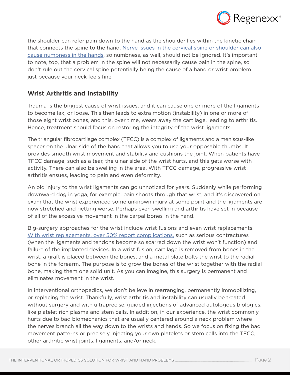

the shoulder can refer pain down to the hand as the shoulder lies within the kinetic chain that connects the spine to the hand. [Nerve issues in the cervical spine or shoulder can also](https://www.regenexx.com/hands-numb-while-sleeping/)  [cause numbness in the hands](https://www.regenexx.com/hands-numb-while-sleeping/), so numbness, as well, should not be ignored. It's important to note, too, that a problem in the spine will not necessarily cause pain in the spine, so don't rule out the cervical spine potentially being the cause of a hand or wrist problem just because your neck feels fine.

## **Wrist Arthritis and Instability**

Trauma is the biggest cause of wrist issues, and it can cause one or more of the ligaments to become lax, or loose. This then leads to extra motion (instability) in one or more of those eight wrist bones, and this, over time, wears away the cartilage, leading to arthritis. Hence, treatment should focus on restoring the integrity of the wrist ligaments.

The triangular fibrocartilage complex (TFCC) is a complex of ligaments and a meniscus-like spacer on the ulnar side of the hand that allows you to use your opposable thumbs. It provides smooth wrist movement and stability and cushions the joint. When patients have TFCC damage, such as a tear, the ulnar side of the wrist hurts, and this gets worse with activity. There can also be swelling in the area. With TFCC damage, progressive wrist arthritis ensues, leading to pain and even deformity.

An old injury to the wrist ligaments can go unnoticed for years. Suddenly while performing downward dog in yoga, for example, pain shoots through that wrist, and it's discovered on exam that the wrist experienced some unknown injury at some point and the ligaments are now stretched and getting worse. Perhaps even swelling and arthritis have set in because of all of the excessive movement in the carpal bones in the hand.

Big-surgery approaches for the wrist include wrist fusions and even wrist replacements. [With wrist replacements, over 50% report complications,](https://www.regenexx.com/wrist-replacement-success-rates/) such as serious contractures (when the ligaments and tendons become so scarred down the wrist won't function) and failure of the implanted devices. In a wrist fusion, cartilage is removed from bones in the wrist, a graft is placed between the bones, and a metal plate bolts the wrist to the radial bone in the forearm. The purpose is to grow the bones of the wrist together with the radial bone, making them one solid unit. As you can imagine, this surgery is permanent and eliminates movement in the wrist.

In interventional orthopedics, we don't believe in rearranging, permanently immobilizing, or replacing the wrist. Thankfully, wrist arthritis and instability can usually be treated without surgery and with ultraprecise, guided injections of advanced autologous biologics, like platelet rich plasma and stem cells. In addition, in our experience, the wrist commonly hurts due to bad biomechanics that are usually centered around a neck problem where the nerves branch all the way down to the wrists and hands. So we focus on fixing the bad movement patterns or precisely injecting your own platelets or stem cells into the TFCC, other arthritic wrist joints, ligaments, and/or neck.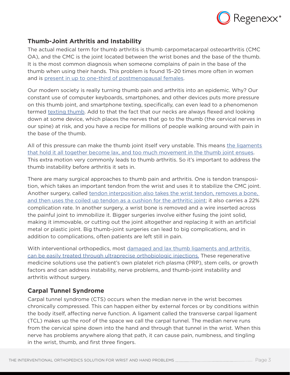

### **Thumb-Joint Arthritis and Instability**

The actual medical term for thumb arthritis is thumb carpometacarpal osteoarthritis (CMC OA), and the CMC is the joint located between the wrist bones and the base of the thumb. It is the most common diagnosis when someone complains of pain in the base of the thumb when using their hands. This problem is found 15–20 times more often in women and is [present in up to one-third of postmenopausal females](http://www.bmj.com/content/343/bmj.d7122).

Our modern society is really turning thumb pain and arthritis into an epidemic. Why? Our constant use of computer keyboards, smartphones, and other devices puts more pressure on this thumb joint, and smartphone texting, specifically, can even lead to a phenomenon termed [texting thumb](https://www.regenexx.com/texting-thumb-treatments/). Add to that the fact that our necks are always flexed and looking down at some device, which places the nerves that go to the thumb (the cervical nerves in our spine) at risk, and you have a recipe for millions of people walking around with pain in the base of the thumb.

All of this pressure can make the thumb joint itself very unstable. This means the ligaments [that hold it all together become lax, and too much movement in the thumb joint ensues](https://www.regenexx.com/pain-base-thumb-convincing-skeptic/). This extra motion very commonly leads to thumb arthritis. So it's important to address the thumb instability before arthritis it sets in.

There are many surgical approaches to thumb pain and arthritis. One is tendon transposition, which takes an important tendon from the wrist and uses it to stabilize the CMC joint. Another surgery, called [tendon interposition also takes the wrist tendon, removes a bone,](https://www.regenexx.com/hand-surgery-side-effects/)  [and then uses the coiled up tendon as a cushion for the arthritic joint](https://www.regenexx.com/hand-surgery-side-effects/); it also carries a 22% complication rate. In another surgery, a wrist bone is removed and a wire inserted across the painful joint to immobilize it. Bigger surgeries involve either fusing the joint solid, making it immovable, or cutting out the joint altogether and replacing it with an artificial metal or plastic joint. Big thumb-joint surgeries can lead to big complications, and in addition to complications, often patients are left still in pain.

With interventional orthopedics, most [damaged and lax thumb ligaments and arthritis](https://www.youtube.com/watch?v=7xXoLyYPDnw)  [can be easily treated through ultraprecise orthobiologic injections.](https://www.youtube.com/watch?v=7xXoLyYPDnw) These regenerative medicine solutions use the patient's own platelet rich plasma (PRP), stem cells, or growth factors and can address instability, nerve problems, and thumb-joint instability and arthritis without surgery.

## **Carpal Tunnel Syndrome**

Carpal tunnel syndrome (CTS) occurs when the median nerve in the wrist becomes chronically compressed. This can happen either by external forces or by conditions within the body itself, affecting nerve function. A ligament called the transverse carpal ligament (TCL) makes up the roof of the space we call the carpal tunnel. The median nerve runs from the cervical spine down into the hand and through that tunnel in the wrist. When this nerve has problems anywhere along that path, it can cause pain, numbness, and tingling in the wrist, thumb, and first three fingers.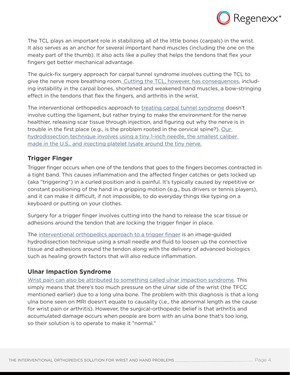

The TCL plays an important role in stabilizing all of the little bones (carpals) in the wrist. It also serves as an anchor for several important hand muscles (including the one on the meaty part of the thumb). It also acts like a pulley that helps the tendons that flex your fingers get better mechanical advantage.

The quick-fix surgery approach for carpal tunnel syndrome involves cutting the TCL to give the nerve more breathing room[. Cutting the TCL, however, has consequences,](https://www.regenexx.com/carpal-tunnel-surgery-recovery/) including instability in the carpal bones, shortened and weakened hand muscles, a bow-stringing effect in the tendons that flex the fingers, and arthritis in the wrist.

The interventional orthopedics approach to [treating carpal tunnel syndrome](https://www.regenexx.com/carpal-tunnel-alternative-treatment/) doesn't involve cutting the ligament, but rather trying to make the environment for the nerve healthier, releasing scar tissue through injection, and figuring out why the nerve is in trouble in the first place (e.g., is the problem rooted in the cervical spine?). [Our](https://www.regenexx.com/avoid-carpal-tunnel-surgery/)  [hydrodissection technique involves using a tiny 1-inch needle, the smallest caliber](https://www.regenexx.com/avoid-carpal-tunnel-surgery/)  [made in the U.S., and injecting platelet lysate around the tiny nerve.](https://www.regenexx.com/avoid-carpal-tunnel-surgery/)

## **Trigger Finger**

Trigger finger occurs when one of the tendons that goes to the fingers becomes contracted in a tight band. This causes inflammation and the affected finger catches or gets locked up (aka "triggering") in a curled position and is painful. It's typically caused by repetitive or constant positioning of the hand in a gripping motion (e.g., bus drivers or tennis players), and it can make it difficult, if not impossible, to do everyday things like typing on a keyboard or putting on your clothes.

Surgery for a trigger finger involves cutting into the hand to release the scar tissue or adhesions around the tendon that are locking the trigger finger in place.

The [interventional orthopedics approach to a trigger finger](https://www.regenexx.com/treating-hand-arthritis-trigger-finger-prp/) is an image-guided hydrodissection technique using a small needle and fluid to loosen up the connective tissue and adhesions around the tendon along with the delivery of advanced biologics such as healing growth factors that will also reduce inflammation.

## **Ulnar Impaction Syndrome**

[Wrist pain can also be attributed to something called ulnar impaction syndrome.](https://www.regenexx.com/ulnar-shortening/) This simply means that there's too much pressure on the ulnar side of the wrist (the TFCC mentioned earlier) due to a long ulna bone. The problem with this diagnosis is that a long ulna bone seen on MRI doesn't equate to causality (i.e., the abnormal length as the cause for wrist pain or arthritis). However, the surgical-orthopedic belief is that arthritis and accumulated damage occurs when people are born with an ulna bone that's too long, so their solution is to operate to make it "normal."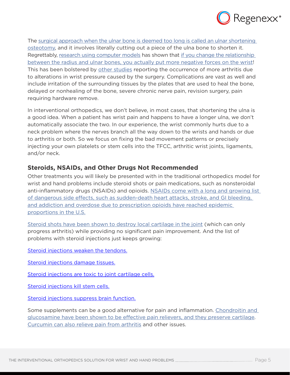

The [surgical approach when the ulnar bone is deemed too long is called an ulnar shortening](https://www.regenexx.com/ulnar-shortening/) [osteotomy,](https://www.regenexx.com/ulnar-shortening/) and it involves literally cutting out a piece of the ulna bone to shorten it. Regrettably, [research using computer models](http://www.ncbi.nlm.nih.gov/pubmed/27021471) has shown that [if you change the relationship](https://www.regenexx.com/foot-fusion-complications/) [between the radius and ulnar bones, you actually put more negative forces on the wrist!](https://www.regenexx.com/foot-fusion-complications/) This has been bolstered by [other studies](http://www.ncbi.nlm.nih.gov/pubmed/26710021) reporting the occurrence of more arthritis due to alterations in wrist pressure caused by the surgery. Complications are vast as well and include irritation of the surrounding tissues by the plates that are used to heal the bone, delayed or nonhealing of the bone, severe chronic nerve pain, revision surgery, pain requiring hardware remove.

In interventional orthopedics, we don't believe, in most cases, that shortening the ulna is a good idea. When a patient has wrist pain and happens to have a longer ulna, we don't automatically associate the two. In our experience, the wrist commonly hurts due to a neck problem where the nerves branch all the way down to the wrists and hands or due to arthritis or both. So we focus on fixing the bad movement patterns or precisely injecting your own platelets or stem cells into the TFCC, arthritic wrist joints, ligaments, and/or neck.

#### **Steroids, NSAIDs, and Other Drugs Not Recommended**

Other treatments you will likely be presented with in the traditional orthopedics model for wrist and hand problems include steroid shots or pain medications, such as nonsteroidal anti-inflammatory drugs (NSAIDs) and opioids. [NSAIDs come with a long and growing list](https://www.regenexx.com/nsaids-and-opioids-may-not-work/)  [of dangerous side effects, such as sudden-death heart attacks, stroke, and GI bleeding,](https://www.regenexx.com/nsaids-and-opioids-may-not-work/)  [and addiction and overdose due to prescription opioids have reached epidemic](https://www.regenexx.com/nsaids-and-opioids-may-not-work/)  [proportions in the U.S.](https://www.regenexx.com/nsaids-and-opioids-may-not-work/)

[Steroid shots have been shown to destroy local cartilage in the joint](https://www.regenexx.com/steroid-shots-for-knee-arthritis/) (which can only progress arthritis) while providing no significant pain improvement. And the list of problems with steroid injections just keeps growing:

[Steroid injections weaken the tendons.](https://www.regenexx.com/steroid-shots-into-tendons-more-side-effects-noted/)

[Steroid injections damage tissues.](https://www.regenexx.com/shoulder-steroid-injection-side-effects/)

[Steroid injections are toxic to joint cartilage cells.](https://www.regenexx.com/cortisone-shot-side-effects/)

[Steroid injections kill stem cells.](https://www.regenexx.com/new-research-steroids-hammer-stem-cells/)

[Steroid injections suppress brain function.](https://www.regenexx.com/more-evidence-mounts-that-steroid-epidural-injections-have-significant-side-effects/)

Some supplements can be a good alternative for pain and inflammation. [Chondroitin and](https://www.regenexx.com/glucosamine-and-chondroitin-as-good-as-celebrex/)  [glucosamine have been shown to be effective pain relievers, and they preserve cartilage](https://www.regenexx.com/glucosamine-and-chondroitin-as-good-as-celebrex/). [Curcumin can also relieve pain from arthritis](https://www.regenexx.com/curcumin-for-knee-arthritis/) and other issues.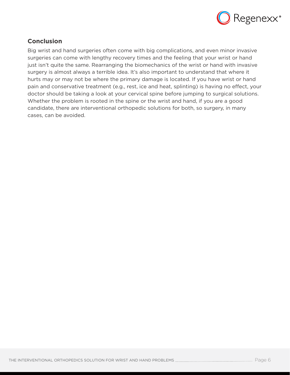

# **Conclusion**

Big wrist and hand surgeries often come with big complications, and even minor invasive surgeries can come with lengthy recovery times and the feeling that your wrist or hand just isn't quite the same. Rearranging the biomechanics of the wrist or hand with invasive surgery is almost always a terrible idea. It's also important to understand that where it hurts may or may not be where the primary damage is located. If you have wrist or hand pain and conservative treatment (e.g., rest, ice and heat, splinting) is having no effect, your doctor should be taking a look at your cervical spine before jumping to surgical solutions. Whether the problem is rooted in the spine or the wrist and hand, if you are a good candidate, there are interventional orthopedic solutions for both, so surgery, in many cases, can be avoided.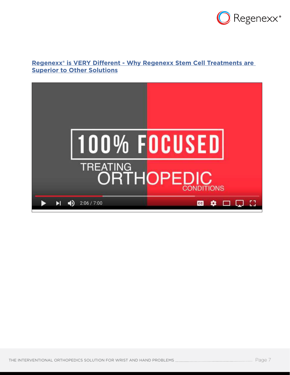

## **[Regenexx® is VERY Different - Why Regenexx Stem Cell Treatments are](https://www.youtube.com/watch?v=3m24gfJVShk&t=2s)  Superior to Other Solutions**

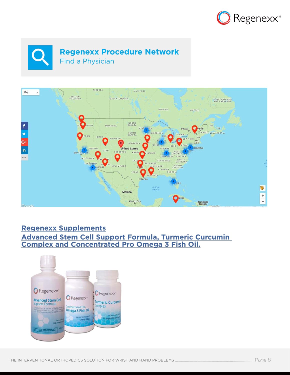





# **Regenexx Supplements**

# **Advanced Stem Cell Support Formula, Turmeric [Cu](https://www.regenexx.com/regenexx-advanced-stem-cell-support-formula/)rcumin Complex and Concentrated Pro Omega 3 Fish Oil.**

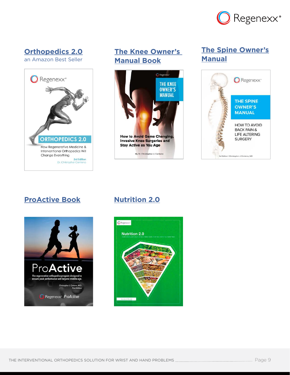

# **[Orthopedics 2.0](https://www.regenexx.com/library-complimentary-regenexx-resources/)**

[an Amazon Best Seller](https://www.regenexx.com/library-complimentary-regenexx-resources/)



# **[The Knee Owner's](https://www.regenexx.com/library-complimentary-regenexx-resources/)  [Manual Book](https://www.regenexx.com/library-complimentary-regenexx-resources/)**



# **[The Spine Owner's](https://www.regenexx.com/library-complimentary-regenexx-resources/) [Manual](https://www.regenexx.com/library-complimentary-regenexx-resources/)**



# **[ProActive Book](https://www.regenexx.com/library-complimentary-regenexx-resources/) [Nutrition 2.0](https://www.regenexx.com/library-complimentary-regenexx-resources/)**